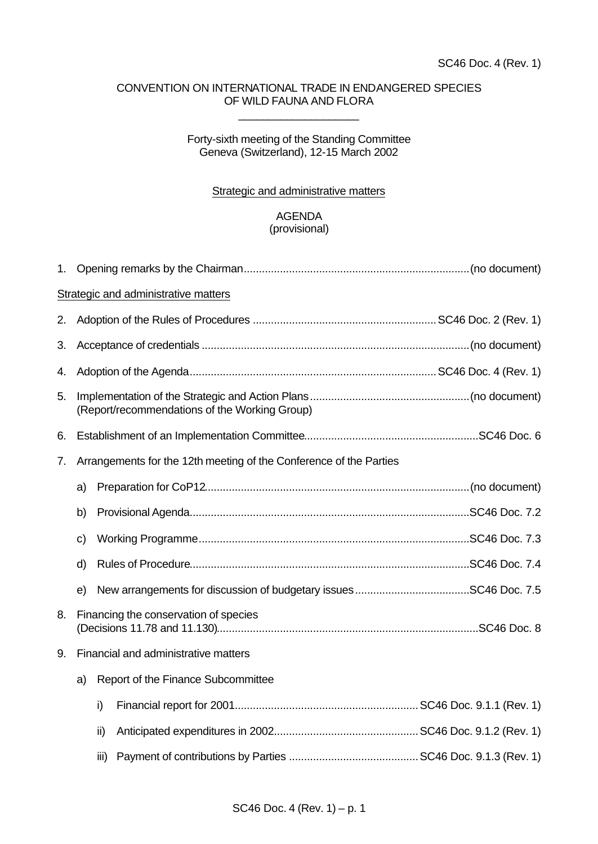## CONVENTION ON INTERNATIONAL TRADE IN ENDANGERED SPECIES OF WILD FAUNA AND FLORA

\_\_\_\_\_\_\_\_\_\_\_\_\_\_\_\_\_\_\_\_

## Forty-sixth meeting of the Standing Committee Geneva (Switzerland), 12-15 March 2002

## Strategic and administrative matters

## AGENDA (provisional)

| 1. |                                                                    |      |                                    |  |  |  |  |  |
|----|--------------------------------------------------------------------|------|------------------------------------|--|--|--|--|--|
|    | <b>Strategic and administrative matters</b>                        |      |                                    |  |  |  |  |  |
| 2. |                                                                    |      |                                    |  |  |  |  |  |
| 3. |                                                                    |      |                                    |  |  |  |  |  |
| 4. |                                                                    |      |                                    |  |  |  |  |  |
| 5. | (Report/recommendations of the Working Group)                      |      |                                    |  |  |  |  |  |
| 6. |                                                                    |      |                                    |  |  |  |  |  |
| 7. | Arrangements for the 12th meeting of the Conference of the Parties |      |                                    |  |  |  |  |  |
|    | a)                                                                 |      |                                    |  |  |  |  |  |
|    | b)                                                                 |      |                                    |  |  |  |  |  |
|    | c)                                                                 |      |                                    |  |  |  |  |  |
|    | d)                                                                 |      |                                    |  |  |  |  |  |
|    | e)                                                                 |      |                                    |  |  |  |  |  |
| 8. | Financing the conservation of species                              |      |                                    |  |  |  |  |  |
| 9. | Financial and administrative matters                               |      |                                    |  |  |  |  |  |
|    | a)                                                                 |      | Report of the Finance Subcommittee |  |  |  |  |  |
|    |                                                                    | i)   |                                    |  |  |  |  |  |
|    |                                                                    | ii)  |                                    |  |  |  |  |  |
|    |                                                                    | iii) |                                    |  |  |  |  |  |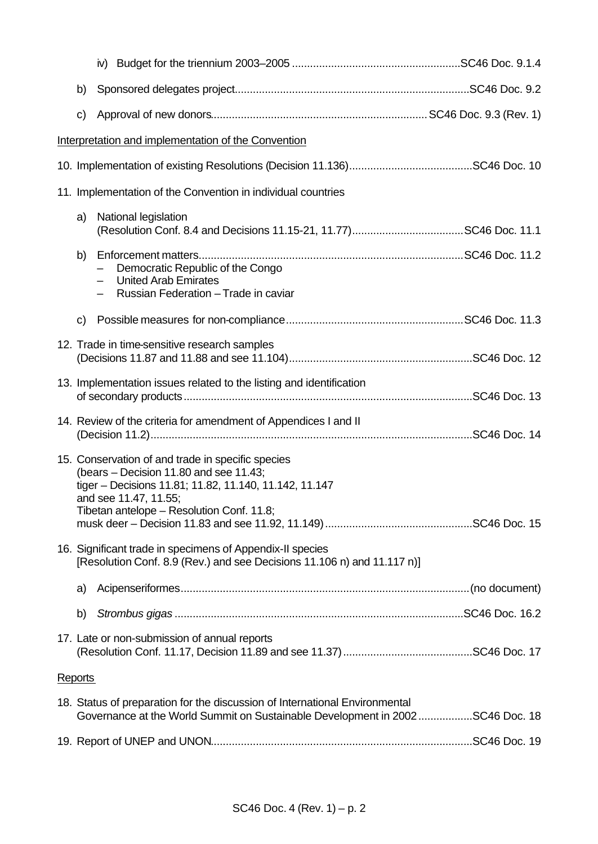|                | b)                                                                  |                                                                                                                                                                                                                                                                                          |  |  |  |  |  |  |
|----------------|---------------------------------------------------------------------|------------------------------------------------------------------------------------------------------------------------------------------------------------------------------------------------------------------------------------------------------------------------------------------|--|--|--|--|--|--|
|                | C)                                                                  |                                                                                                                                                                                                                                                                                          |  |  |  |  |  |  |
|                | Interpretation and implementation of the Convention                 |                                                                                                                                                                                                                                                                                          |  |  |  |  |  |  |
|                |                                                                     |                                                                                                                                                                                                                                                                                          |  |  |  |  |  |  |
|                |                                                                     | 11. Implementation of the Convention in individual countries                                                                                                                                                                                                                             |  |  |  |  |  |  |
|                | a)                                                                  | National legislation                                                                                                                                                                                                                                                                     |  |  |  |  |  |  |
|                | b)                                                                  | Democratic Republic of the Congo<br><b>United Arab Emirates</b><br>Russian Federation - Trade in caviar                                                                                                                                                                                  |  |  |  |  |  |  |
|                | C)                                                                  |                                                                                                                                                                                                                                                                                          |  |  |  |  |  |  |
|                |                                                                     | 12. Trade in time-sensitive research samples                                                                                                                                                                                                                                             |  |  |  |  |  |  |
|                | 13. Implementation issues related to the listing and identification |                                                                                                                                                                                                                                                                                          |  |  |  |  |  |  |
|                |                                                                     | 14. Review of the criteria for amendment of Appendices I and II                                                                                                                                                                                                                          |  |  |  |  |  |  |
|                |                                                                     | 15. Conservation of and trade in specific species<br>(bears – Decision 11.80 and see 11.43;<br>tiger - Decisions 11.81; 11.82, 11.140, 11.142, 11.147<br>and see 11.47, 11.55;<br>Tibetan antelope - Resolution Conf. 11.8;<br>16. Significant trade in specimens of Appendix-II species |  |  |  |  |  |  |
|                |                                                                     | [Resolution Conf. 8.9 (Rev.) and see Decisions 11.106 n) and 11.117 n)]                                                                                                                                                                                                                  |  |  |  |  |  |  |
|                | a)                                                                  |                                                                                                                                                                                                                                                                                          |  |  |  |  |  |  |
|                | b)                                                                  |                                                                                                                                                                                                                                                                                          |  |  |  |  |  |  |
|                |                                                                     | 17. Late or non-submission of annual reports                                                                                                                                                                                                                                             |  |  |  |  |  |  |
| <b>Reports</b> |                                                                     |                                                                                                                                                                                                                                                                                          |  |  |  |  |  |  |
|                |                                                                     | 18. Status of preparation for the discussion of International Environmental<br>Governance at the World Summit on Sustainable Development in 2002 SC46 Doc. 18                                                                                                                            |  |  |  |  |  |  |
|                |                                                                     |                                                                                                                                                                                                                                                                                          |  |  |  |  |  |  |